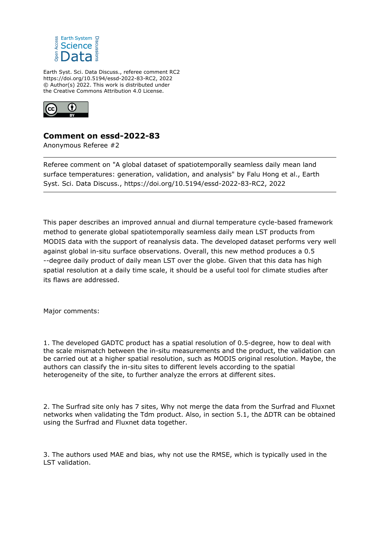

Earth Syst. Sci. Data Discuss., referee comment RC2 https://doi.org/10.5194/essd-2022-83-RC2, 2022 © Author(s) 2022. This work is distributed under the Creative Commons Attribution 4.0 License.



## **Comment on essd-2022-83**

Anonymous Referee #2

Referee comment on "A global dataset of spatiotemporally seamless daily mean land surface temperatures: generation, validation, and analysis" by Falu Hong et al., Earth Syst. Sci. Data Discuss., https://doi.org/10.5194/essd-2022-83-RC2, 2022

This paper describes an improved annual and diurnal temperature cycle-based framework method to generate global spatiotemporally seamless daily mean LST products from MODIS data with the support of reanalysis data. The developed dataset performs very well against global in-situ surface observations. Overall, this new method produces a 0.5 --degree daily product of daily mean LST over the globe. Given that this data has high spatial resolution at a daily time scale, it should be a useful tool for climate studies after its flaws are addressed.

Major comments:

1. The developed GADTC product has a spatial resolution of 0.5-degree, how to deal with the scale mismatch between the in-situ measurements and the product, the validation can be carried out at a higher spatial resolution, such as MODIS original resolution. Maybe, the authors can classify the in-situ sites to different levels according to the spatial heterogeneity of the site, to further analyze the errors at different sites.

2. The Surfrad site only has 7 sites, Why not merge the data from the Surfrad and Fluxnet networks when validating the Tdm product. Also, in section 5.1, the ΔDTR can be obtained using the Surfrad and Fluxnet data together.

3. The authors used MAE and bias, why not use the RMSE, which is typically used in the LST validation.